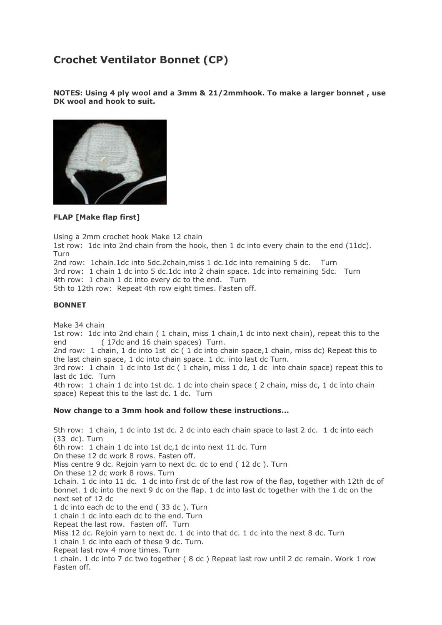## **Crochet Ventilator Bonnet (CP)**

**NOTES: Using 4 ply wool and a 3mm & 21/2mmhook. To make a larger bonnet , use DK wool and hook to suit.**



**FLAP [Make flap first]**

Using a 2mm crochet hook Make 12 chain

1st row: 1dc into 2nd chain from the hook, then 1 dc into every chain to the end (11dc). Turn

2nd row: 1chain.1dc into 5dc.2chain,miss 1 dc.1dc into remaining 5 dc. Turn 3rd row: 1 chain 1 dc into 5 dc.1dc into 2 chain space. 1dc into remaining 5dc. Turn 4th row: 1 chain 1 dc into every dc to the end. Turn 5th to 12th row: Repeat 4th row eight times. Fasten off.

## **BONNET**

Make 34 chain

1st row: 1dc into 2nd chain ( 1 chain, miss 1 chain,1 dc into next chain), repeat this to the end (17dc and 16 chain spaces) Turn.

2nd row: 1 chain, 1 dc into 1st dc ( 1 dc into chain space,1 chain, miss dc) Repeat this to the last chain space, 1 dc into chain space. 1 dc. into last dc Turn.

3rd row: 1 chain 1 dc into 1st dc ( 1 chain, miss 1 dc, 1 dc into chain space) repeat this to last dc 1dc. Turn

4th row: 1 chain 1 dc into 1st dc. 1 dc into chain space ( 2 chain, miss dc, 1 dc into chain space) Repeat this to the last dc. 1 dc. Turn

## **Now change to a 3mm hook and follow these instructions...**

5th row: 1 chain, 1 dc into 1st dc. 2 dc into each chain space to last 2 dc. 1 dc into each (33 dc). Turn 6th row: 1 chain 1 dc into 1st dc,1 dc into next 11 dc. Turn On these 12 dc work 8 rows. Fasten off. Miss centre 9 dc. Rejoin yarn to next dc. dc to end ( 12 dc ). Turn On these 12 dc work 8 rows. Turn 1chain. 1 dc into 11 dc. 1 dc into first dc of the last row of the flap, together with 12th dc of bonnet. 1 dc into the next 9 dc on the flap. 1 dc into last dc together with the 1 dc on the next set of 12 dc 1 dc into each dc to the end ( 33 dc ). Turn 1 chain 1 dc into each dc to the end. Turn Repeat the last row. Fasten off. Turn Miss 12 dc. Rejoin yarn to next dc. 1 dc into that dc. 1 dc into the next 8 dc. Turn 1 chain 1 dc into each of these 9 dc. Turn. Repeat last row 4 more times. Turn 1 chain. 1 dc into 7 dc two together ( 8 dc ) Repeat last row until 2 dc remain. Work 1 row

Fasten off.